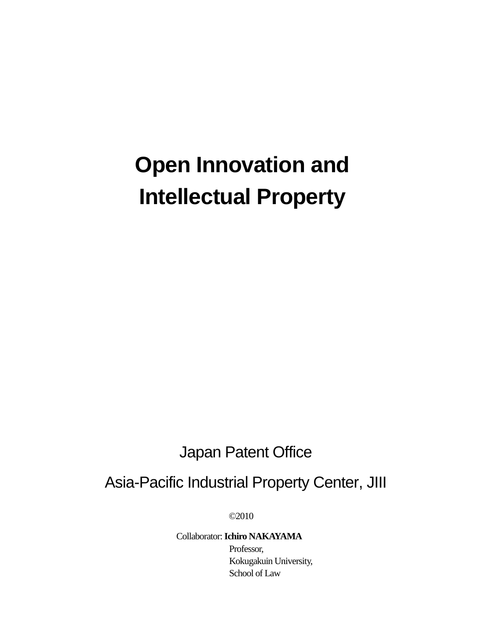# **Open Innovation and Intellectual Property**

## Japan Patent Office

### Asia-Pacific Industrial Property Center, JIII

©2010

#### Collaborator: **Ichiro NAKAYAMA** Professor,

Kokugakuin University, School of Law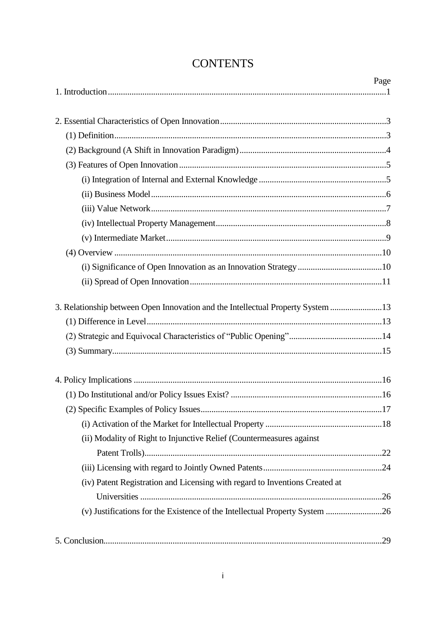|                                                                                 | Page |
|---------------------------------------------------------------------------------|------|
|                                                                                 |      |
|                                                                                 |      |
|                                                                                 |      |
|                                                                                 |      |
|                                                                                 |      |
|                                                                                 |      |
|                                                                                 |      |
|                                                                                 |      |
|                                                                                 |      |
|                                                                                 |      |
|                                                                                 |      |
|                                                                                 |      |
|                                                                                 |      |
| 3. Relationship between Open Innovation and the Intellectual Property System 13 |      |
|                                                                                 |      |
|                                                                                 |      |
|                                                                                 |      |
|                                                                                 |      |
|                                                                                 |      |
|                                                                                 | 17   |
|                                                                                 |      |
| (ii) Modality of Right to Injunctive Relief (Countermeasures against            |      |
|                                                                                 |      |
|                                                                                 |      |
| (iv) Patent Registration and Licensing with regard to Inventions Created at     |      |
|                                                                                 |      |
| (v) Justifications for the Existence of the Intellectual Property System 26     |      |
|                                                                                 |      |

### **CONTENTS**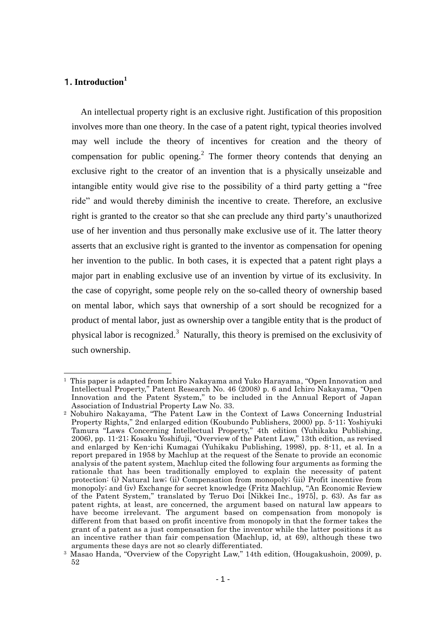#### 1**. Introduction<sup>1</sup>**

1

An intellectual property right is an exclusive right. Justification of this proposition involves more than one theory. In the case of a patent right, typical theories involved may well include the theory of incentives for creation and the theory of compensation for public opening.<sup>2</sup> The former theory contends that denying an exclusive right to the creator of an invention that is a physically unseizable and intangible entity would give rise to the possibility of a third party getting a "free ride" and would thereby diminish the incentive to create. Therefore, an exclusive right is granted to the creator so that she can preclude any third party's unauthorized use of her invention and thus personally make exclusive use of it. The latter theory asserts that an exclusive right is granted to the inventor as compensation for opening her invention to the public. In both cases, it is expected that a patent right plays a major part in enabling exclusive use of an invention by virtue of its exclusivity. In the case of copyright, some people rely on the so-called theory of ownership based on mental labor, which says that ownership of a sort should be recognized for a product of mental labor, just as ownership over a tangible entity that is the product of physical labor is recognized.<sup>3</sup> Naturally, this theory is premised on the exclusivity of such ownership.

<sup>1</sup> This paper is adapted from Ichiro Nakayama and Yuko Harayama, "Open Innovation and Intellectual Property," Patent Research No. 46 (2008) p. 6 and Ichiro Nakayama, "Open Innovation and the Patent System," to be included in the Annual Report of Japan Association of Industrial Property Law No. 33.

<sup>2</sup> Nobuhiro Nakayama, "The Patent Law in the Context of Laws Concerning Industrial Property Rights," 2nd enlarged edition (Koubundo Publishers, 2000) pp. 5-11; Yoshiyuki Tamura "Laws Concerning Intellectual Property," 4th edition (Yuhikaku Publishing, 2006), pp. 11-21; Kosaku Yoshifuji, "Overview of the Patent Law," 13th edition, as revised and enlarged by Ken-ichi Kumagai (Yuhikaku Publishing, 1998), pp. 8-11, et al. In a report prepared in 1958 by Machlup at the request of the Senate to provide an economic analysis of the patent system, Machlup cited the following four arguments as forming the rationale that has been traditionally employed to explain the necessity of patent protection: (i) Natural law; (ii) Compensation from monopoly; (iii) Profit incentive from monopoly; and (iv) Exchange for secret knowledge (Fritz Machlup, "An Economic Review of the Patent System," translated by Teruo Doi [Nikkei Inc., 1975], p. 63). As far as patent rights, at least, are concerned, the argument based on natural law appears to have become irrelevant. The argument based on compensation from monopoly is different from that based on profit incentive from monopoly in that the former takes the grant of a patent as a just compensation for the inventor while the latter positions it as an incentive rather than fair compensation (Machlup, id, at 69), although these two arguments these days are not so clearly differentiated.

<sup>3</sup> Masao Handa, "Overview of the Copyright Law," 14th edition, (Hougakushoin, 2009), p. 52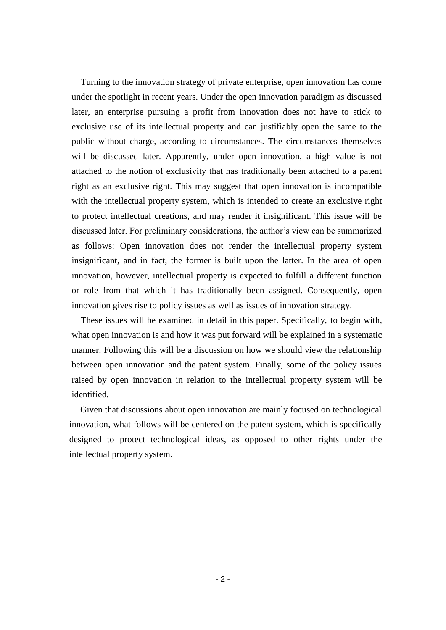Turning to the innovation strategy of private enterprise, open innovation has come under the spotlight in recent years. Under the open innovation paradigm as discussed later, an enterprise pursuing a profit from innovation does not have to stick to exclusive use of its intellectual property and can justifiably open the same to the public without charge, according to circumstances. The circumstances themselves will be discussed later. Apparently, under open innovation, a high value is not attached to the notion of exclusivity that has traditionally been attached to a patent right as an exclusive right. This may suggest that open innovation is incompatible with the intellectual property system, which is intended to create an exclusive right to protect intellectual creations, and may render it insignificant. This issue will be discussed later. For preliminary considerations, the author's view can be summarized as follows: Open innovation does not render the intellectual property system insignificant, and in fact, the former is built upon the latter. In the area of open innovation, however, intellectual property is expected to fulfill a different function or role from that which it has traditionally been assigned. Consequently, open innovation gives rise to policy issues as well as issues of innovation strategy.

These issues will be examined in detail in this paper. Specifically, to begin with, what open innovation is and how it was put forward will be explained in a systematic manner. Following this will be a discussion on how we should view the relationship between open innovation and the patent system. Finally, some of the policy issues raised by open innovation in relation to the intellectual property system will be identified.

Given that discussions about open innovation are mainly focused on technological innovation, what follows will be centered on the patent system, which is specifically designed to protect technological ideas, as opposed to other rights under the intellectual property system.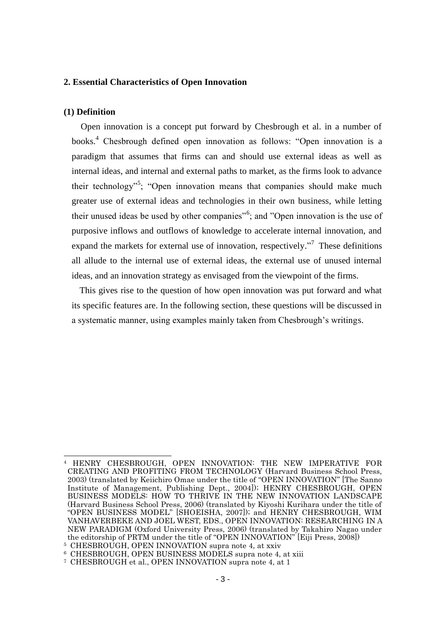#### **2. Essential Characteristics of Open Innovation**

#### **(1) Definition**

Open innovation is a concept put forward by Chesbrough et al. in a number of books.<sup>4</sup> Chesbrough defined open innovation as follows: "Open innovation is a paradigm that assumes that firms can and should use external ideas as well as internal ideas, and internal and external paths to market, as the firms look to advance their technology"<sup>5</sup>; "Open innovation means that companies should make much greater use of external ideas and technologies in their own business, while letting their unused ideas be used by other companies<sup>"6</sup>; and "Open innovation is the use of purposive inflows and outflows of knowledge to accelerate internal innovation, and expand the markets for external use of innovation, respectively."<sup>7</sup> These definitions all allude to the internal use of external ideas, the external use of unused internal ideas, and an innovation strategy as envisaged from the viewpoint of the firms.

This gives rise to the question of how open innovation was put forward and what its specific features are. In the following section, these questions will be discussed in a systematic manner, using examples mainly taken from Chesbrough's writings.

<sup>-</sup><sup>4</sup> HENRY CHESBROUGH, OPEN INNOVATION: THE NEW IMPERATIVE FOR CREATING AND PROFITING FROM TECHNOLOGY (Harvard Business School Press, 2003) (translated by Keiichiro Omae under the title of "OPEN INNOVATION" [The Sanno Institute of Management, Publishing Dept., 2004]); HENRY CHESBROUGH, OPEN BUSINESS MODELS: HOW TO THRIVE IN THE NEW INNOVATION LANDSCAPE (Harvard Business School Press, 2006) (translated by Kiyoshi Kurihara under the title of "OPEN BUSINESS MODEL" [SHOEISHA, 2007]); and HENRY CHESBROUGH, WIM VANHAVERBEKE AND JOEL WEST, EDS., OPEN INNOVATION: RESEARCHING IN A NEW PARADIGM (Oxford University Press, 2006) (translated by Takahiro Nagao under the editorship of PRTM under the title of "OPEN INNOVATION" [Eiji Press, 2008])

<sup>5</sup> CHESBROUGH, OPEN INNOVATION supra note 4, at xxiv

<sup>6</sup> CHESBROUGH, OPEN BUSINESS MODELS supra note 4, at xiii

<sup>7</sup> CHESBROUGH et al., OPEN INNOVATION supra note 4, at 1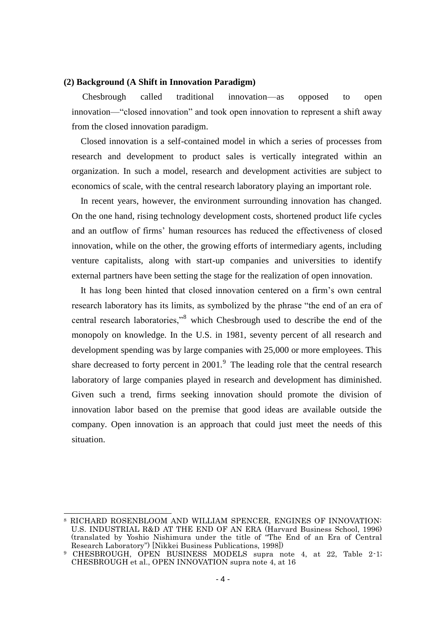#### **(2) Background (A Shift in Innovation Paradigm)**

Chesbrough called traditional innovation—as opposed to open innovation—"closed innovation" and took open innovation to represent a shift away from the closed innovation paradigm.

Closed innovation is a self-contained model in which a series of processes from research and development to product sales is vertically integrated within an organization. In such a model, research and development activities are subject to economics of scale, with the central research laboratory playing an important role.

In recent years, however, the environment surrounding innovation has changed. On the one hand, rising technology development costs, shortened product life cycles and an outflow of firms' human resources has reduced the effectiveness of closed innovation, while on the other, the growing efforts of intermediary agents, including venture capitalists, along with start-up companies and universities to identify external partners have been setting the stage for the realization of open innovation.

It has long been hinted that closed innovation centered on a firm's own central research laboratory has its limits, as symbolized by the phrase "the end of an era of central research laboratories,"<sup>8</sup> which Chesbrough used to describe the end of the monopoly on knowledge. In the U.S. in 1981, seventy percent of all research and development spending was by large companies with 25,000 or more employees. This share decreased to forty percent in  $2001$ .<sup>9</sup> The leading role that the central research laboratory of large companies played in research and development has diminished. Given such a trend, firms seeking innovation should promote the division of innovation labor based on the premise that good ideas are available outside the company. Open innovation is an approach that could just meet the needs of this situation.

<sup>8</sup> RICHARD ROSENBLOOM AND WILLIAM SPENCER, ENGINES OF INNOVATION: U.S. INDUSTRIAL R&D AT THE END OF AN ERA (Harvard Business School, 1996) (translated by Yoshio Nishimura under the title of "The End of an Era of Central Research Laboratory") [Nikkei Business Publications, 1998])

<sup>9</sup> CHESBROUGH, OPEN BUSINESS MODELS supra note 4, at 22, Table 2-1; CHESBROUGH et al., OPEN INNOVATION supra note 4, at 16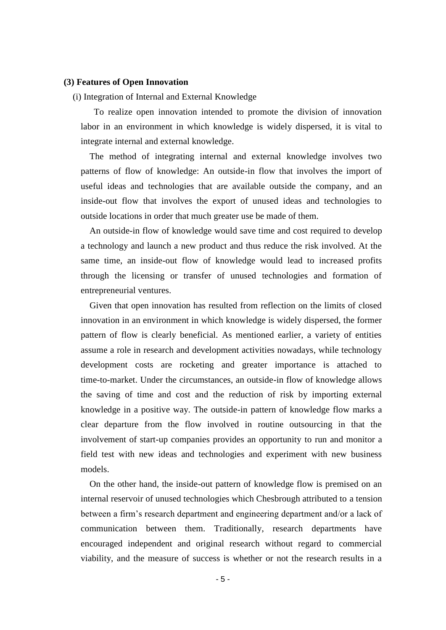#### **(3) Features of Open Innovation**

#### (i) Integration of Internal and External Knowledge

To realize open innovation intended to promote the division of innovation labor in an environment in which knowledge is widely dispersed, it is vital to integrate internal and external knowledge.

The method of integrating internal and external knowledge involves two patterns of flow of knowledge: An outside-in flow that involves the import of useful ideas and technologies that are available outside the company, and an inside-out flow that involves the export of unused ideas and technologies to outside locations in order that much greater use be made of them.

An outside-in flow of knowledge would save time and cost required to develop a technology and launch a new product and thus reduce the risk involved. At the same time, an inside-out flow of knowledge would lead to increased profits through the licensing or transfer of unused technologies and formation of entrepreneurial ventures.

Given that open innovation has resulted from reflection on the limits of closed innovation in an environment in which knowledge is widely dispersed, the former pattern of flow is clearly beneficial. As mentioned earlier, a variety of entities assume a role in research and development activities nowadays, while technology development costs are rocketing and greater importance is attached to time-to-market. Under the circumstances, an outside-in flow of knowledge allows the saving of time and cost and the reduction of risk by importing external knowledge in a positive way. The outside-in pattern of knowledge flow marks a clear departure from the flow involved in routine outsourcing in that the involvement of start-up companies provides an opportunity to run and monitor a field test with new ideas and technologies and experiment with new business models.

On the other hand, the inside-out pattern of knowledge flow is premised on an internal reservoir of unused technologies which Chesbrough attributed to a tension between a firm's research department and engineering department and/or a lack of communication between them. Traditionally, research departments have encouraged independent and original research without regard to commercial viability, and the measure of success is whether or not the research results in a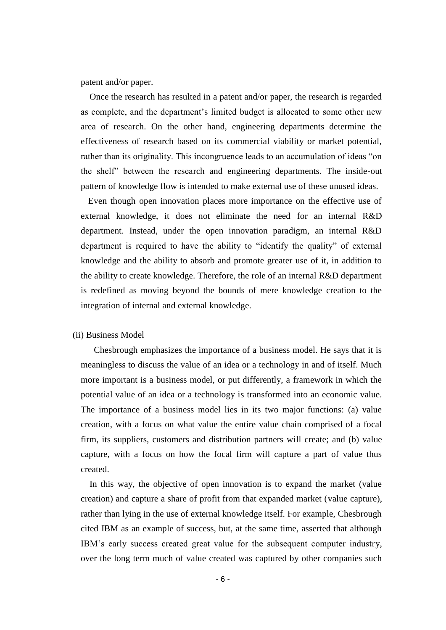patent and/or paper.

Once the research has resulted in a patent and/or paper, the research is regarded as complete, and the department's limited budget is allocated to some other new area of research. On the other hand, engineering departments determine the effectiveness of research based on its commercial viability or market potential, rather than its originality. This incongruence leads to an accumulation of ideas "on the shelf" between the research and engineering departments. The inside-out pattern of knowledge flow is intended to make external use of these unused ideas.

Even though open innovation places more importance on the effective use of external knowledge, it does not eliminate the need for an internal R&D department. Instead, under the open innovation paradigm, an internal R&D department is required to have the ability to "identify the quality" of external knowledge and the ability to absorb and promote greater use of it, in addition to the ability to create knowledge. Therefore, the role of an internal R&D department is redefined as moving beyond the bounds of mere knowledge creation to the integration of internal and external knowledge.

#### (ii) Business Model

Chesbrough emphasizes the importance of a business model. He says that it is meaningless to discuss the value of an idea or a technology in and of itself. Much more important is a business model, or put differently, a framework in which the potential value of an idea or a technology is transformed into an economic value. The importance of a business model lies in its two major functions: (a) value creation, with a focus on what value the entire value chain comprised of a focal firm, its suppliers, customers and distribution partners will create; and (b) value capture, with a focus on how the focal firm will capture a part of value thus created.

In this way, the objective of open innovation is to expand the market (value creation) and capture a share of profit from that expanded market (value capture), rather than lying in the use of external knowledge itself. For example, Chesbrough cited IBM as an example of success, but, at the same time, asserted that although IBM's early success created great value for the subsequent computer industry, over the long term much of value created was captured by other companies such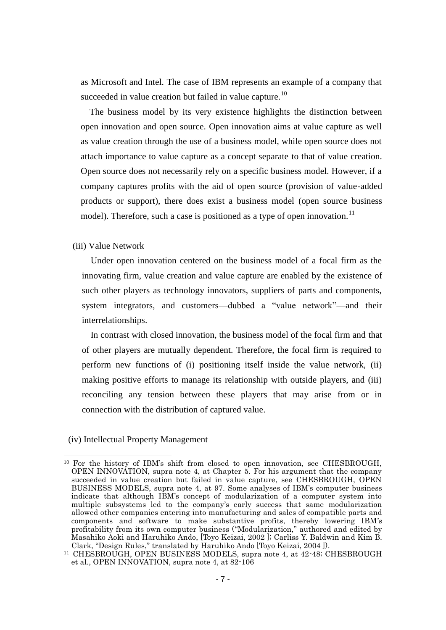as Microsoft and Intel. The case of IBM represents an example of a company that succeeded in value creation but failed in value capture.<sup>10</sup>

The business model by its very existence highlights the distinction between open innovation and open source. Open innovation aims at value capture as well as value creation through the use of a business model, while open source does not attach importance to value capture as a concept separate to that of value creation. Open source does not necessarily rely on a specific business model. However, if a company captures profits with the aid of open source (provision of value-added products or support), there does exist a business model (open source business model). Therefore, such a case is positioned as a type of open innovation.<sup>11</sup>

(iii) Value Network

Under open innovation centered on the business model of a focal firm as the innovating firm, value creation and value capture are enabled by the existence of such other players as technology innovators, suppliers of parts and components, system integrators, and customers—dubbed a "value network"—and their interrelationships.

In contrast with closed innovation, the business model of the focal firm and that of other players are mutually dependent. Therefore, the focal firm is required to perform new functions of (i) positioning itself inside the value network, (ii) making positive efforts to manage its relationship with outside players, and (iii) reconciling any tension between these players that may arise from or in connection with the distribution of captured value.

(iv) Intellectual Property Management

<sup>-</sup><sup>10</sup> For the history of IBM's shift from closed to open innovation, see CHESBROUGH, OPEN INNOVATION, supra note 4, at Chapter 5. For his argument that the company succeeded in value creation but failed in value capture, see CHESBROUGH, OPEN BUSINESS MODELS, supra note 4, at 97. Some analyses of IBM"s computer business indicate that although IBM"s concept of modularization of a computer system into multiple subsystems led to the company's early success that same modularization allowed other companies entering into manufacturing and sales of compatible parts and components and software to make substantive profits, thereby lowering IBM"s profitability from its own computer business ("Modularization," authored and edited by Masahiko Aoki and Haruhiko Ando, [Toyo Keizai, 2002 ]; Carliss Y. Baldwin and Kim B. Clark, "Design Rules," translated by Haruhiko Ando [Toyo Keizai, 2004 ]).

<sup>11</sup> CHESBROUGH, OPEN BUSINESS MODELS, supra note 4, at 42-48; CHESBROUGH et al., OPEN INNOVATION, supra note 4, at 82-106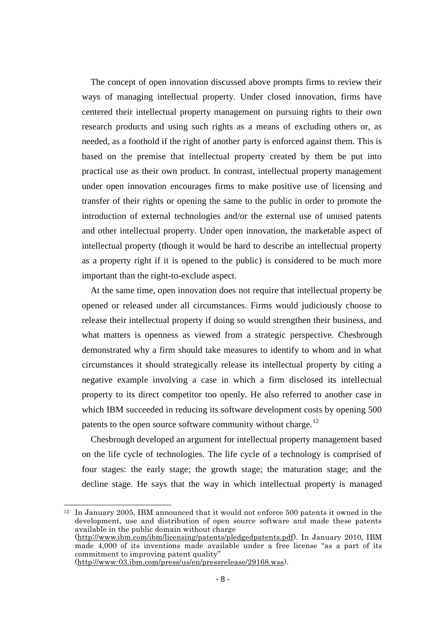The concept of open innovation discussed above prompts firms to review their ways of managing intellectual property. Under closed innovation, firms have centered their intellectual property management on pursuing rights to their own research products and using such rights as a means of excluding others or, as needed, as a foothold if the right of another party is enforced against them. This is based on the premise that intellectual property created by them be put into practical use as their own product. In contrast, intellectual property management under open innovation encourages firms to make positive use of licensing and transfer of their rights or opening the same to the public in order to promote the introduction of external technologies and/or the external use of unused patents and other intellectual property. Under open innovation, the marketable aspect of intellectual property (though it would be hard to describe an intellectual property as a property right if it is opened to the public) is considered to be much more important than the right-to-exclude aspect.

At the same time, open innovation does not require that intellectual property be opened or released under all circumstances. Firms would judiciously choose to release their intellectual property if doing so would strengthen their business, and what matters is openness as viewed from a strategic perspective. Chesbrough demonstrated why a firm should take measures to identify to whom and in what circumstances it should strategically release its intellectual property by citing a negative example involving a case in which a firm disclosed its intellectual property to its direct competitor too openly. He also referred to another case in which IBM succeeded in reducing its software development costs by opening 500 patents to the open source software community without charge.<sup>12</sup>

Chesbrough developed an argument for intellectual property management based on the life cycle of technologies. The life cycle of a technology is comprised of four stages: the early stage; the growth stage; the maturation stage; and the decline stage. He says that the way in which intellectual property is managed

<sup>&</sup>lt;sup>12</sup> In January 2005, IBM announced that it would not enforce 500 patents it owned in the development, use and distribution of open source software and made these patents available in the public domain without charge [\(http://www.ibm.com/ibm/licensing/patents/pledgedpatents.pdf\)](http://www.ibm.com/ibm/licensing/patents/pledgedpatents.pdf). In January 2010, IBM made 4,000 of its inventions made available under a free license "as a part of its commitment to improving patent quality"

[<sup>\(</sup>http://www-03.ibm.com/press/us/en/pressrelease/29168.wss\)](http://www-03.ibm.com/press/us/en/pressrelease/29168.wss).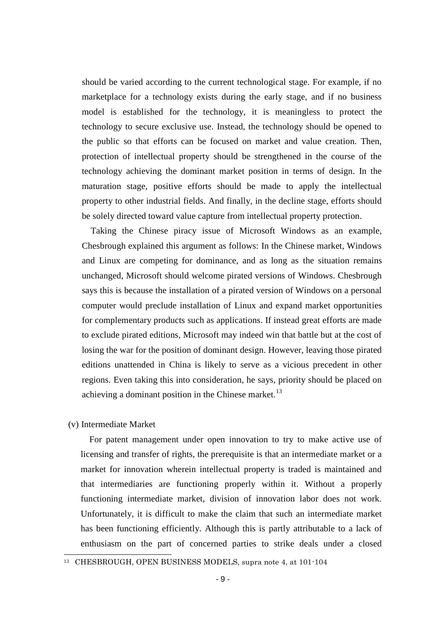should be varied according to the current technological stage. For example, if no marketplace for a technology exists during the early stage, and if no business model is established for the technology, it is meaningless to protect the technology to secure exclusive use. Instead, the technology should be opened to the public so that efforts can be focused on market and value creation. Then, protection of intellectual property should be strengthened in the course of the technology achieving the dominant market position in terms of design. In the maturation stage, positive efforts should be made to apply the intellectual property to other industrial fields. And finally, in the decline stage, efforts should be solely directed toward value capture from intellectual property protection.

Taking the Chinese piracy issue of Microsoft Windows as an example, Chesbrough explained this argument as follows: In the Chinese market, Windows and Linux are competing for dominance, and as long as the situation remains unchanged, Microsoft should welcome pirated versions of Windows. Chesbrough says this is because the installation of a pirated version of Windows on a personal computer would preclude installation of Linux and expand market opportunities for complementary products such as applications. If instead great efforts are made to exclude pirated editions, Microsoft may indeed win that battle but at the cost of losing the war for the position of dominant design. However, leaving those pirated editions unattended in China is likely to serve as a vicious precedent in other regions. Even taking this into consideration, he says, priority should be placed on achieving a dominant position in the Chinese market.<sup>13</sup>

#### (v) Intermediate Market

-

For patent management under open innovation to try to make active use of licensing and transfer of rights, the prerequisite is that an intermediate market or a market for innovation wherein intellectual property is traded is maintained and that intermediaries are functioning properly within it. Without a properly functioning intermediate market, division of innovation labor does not work. Unfortunately, it is difficult to make the claim that such an intermediate market has been functioning efficiently. Although this is partly attributable to a lack of enthusiasm on the part of concerned parties to strike deals under a closed

<sup>13</sup> CHESBROUGH, OPEN BUSINESS MODELS, supra note 4, at 101-104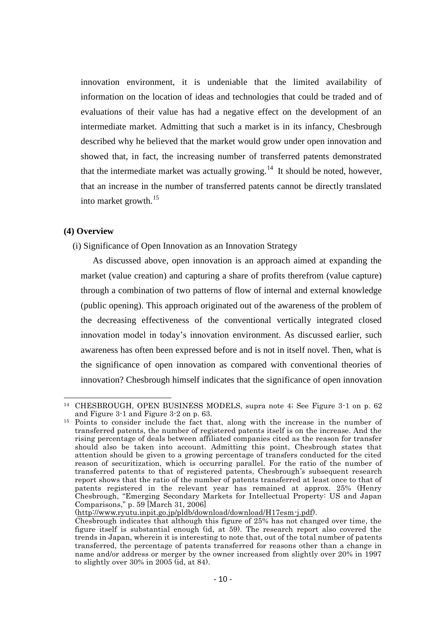innovation environment, it is undeniable that the limited availability of information on the location of ideas and technologies that could be traded and of evaluations of their value has had a negative effect on the development of an intermediate market. Admitting that such a market is in its infancy, Chesbrough described why he believed that the market would grow under open innovation and showed that, in fact, the increasing number of transferred patents demonstrated that the intermediate market was actually growing.<sup>14</sup> It should be noted, however, that an increase in the number of transferred patents cannot be directly translated into market growth.<sup>15</sup>

#### **(4) Overview**

1

(i) Significance of Open Innovation as an Innovation Strategy

As discussed above, open innovation is an approach aimed at expanding the market (value creation) and capturing a share of profits therefrom (value capture) through a combination of two patterns of flow of internal and external knowledge (public opening). This approach originated out of the awareness of the problem of the decreasing effectiveness of the conventional vertically integrated closed innovation model in today's innovation environment. As discussed earlier, such awareness has often been expressed before and is not in itself novel. Then, what is the significance of open innovation as compared with conventional theories of innovation? Chesbrough himself indicates that the significance of open innovation

[\(http://www.ryutu.inpit.go.jp/pldb/download/download/H17esm-j.pdf\)](http://www.ryutu.inpit.go.jp/pldb/download/download/H17esm-j.pdf).

<sup>14</sup> CHESBROUGH, OPEN BUSINESS MODELS, supra note 4; See Figure 3-1 on p. 62 and Figure 3-1 and Figure 3-2 on p. 63.

<sup>15</sup> Points to consider include the fact that, along with the increase in the number of transferred patents, the number of registered patents itself is on the increase. And the rising percentage of deals between affiliated companies cited as the reason for transfer should also be taken into account. Admitting this point, Chesbrough states that attention should be given to a growing percentage of transfers conducted for the cited reason of securitization, which is occurring parallel. For the ratio of the number of transferred patents to that of registered patents, Chesbrough's subsequent research report shows that the ratio of the number of patents transferred at least once to that of patents registered in the relevant year has remained at approx. 25% (Henry Chesbrough, "Emerging Secondary Markets for Intellectual Property: US and Japan Comparisons," p. 59 [March 31, 2006]

Chesbrough indicates that although this figure of 25% has not changed over time, the figure itself is substantial enough (id, at 59). The research report also covered the trends in Japan, wherein it is interesting to note that, out of the total number of patents transferred, the percentage of patents transferred for reasons other than a change in name and/or address or merger by the owner increased from slightly over 20% in 1997 to slightly over 30% in 2005 (id, at 84).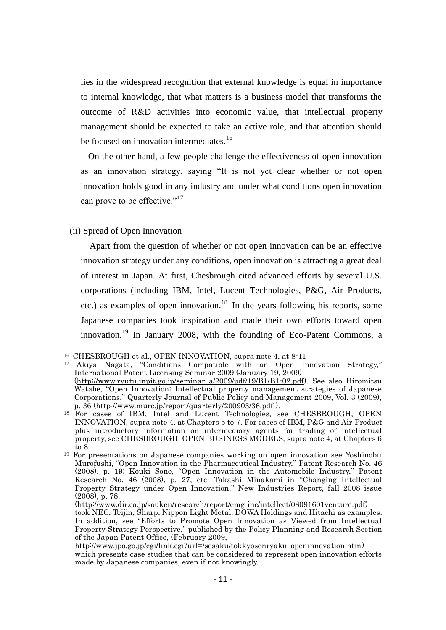lies in the widespread recognition that external knowledge is equal in importance to internal knowledge, that what matters is a business model that transforms the outcome of R&D activities into economic value, that intellectual property management should be expected to take an active role, and that attention should be focused on innovation intermediates.<sup>16</sup>

On the other hand, a few people challenge the effectiveness of open innovation as an innovation strategy, saying "It is not yet clear whether or not open innovation holds good in any industry and under what conditions open innovation can prove to be effective."<sup>17</sup>

(ii) Spread of Open Innovation

Apart from the question of whether or not open innovation can be an effective innovation strategy under any conditions, open innovation is attracting a great deal of interest in Japan. At first, Chesbrough cited advanced efforts by several U.S. corporations (including IBM, Intel, Lucent Technologies, P&G, Air Products, etc.) as examples of open innovation.<sup>18</sup> In the years following his reports, some Japanese companies took inspiration and made their own efforts toward open innovation.<sup>19</sup> In January 2008, with the founding of Eco-Patent Commons, a

<sup>-</sup><sup>16</sup> CHESBROUGH et al., OPEN INNOVATION, supra note 4, at 8-11

<sup>17</sup> Akiya Nagata, "Conditions Compatible with an Open Innovation Strategy," International Patent Licensing Seminar 2009 (January 19, 2009) [\(http://www.ryutu.inpit.go.jp/seminar\\_a/2009/pdf/19/B1/B1-02.pdf\)](http://www.ryutu.inpit.go.jp/seminar_a/2009/pdf/19/B1/B1-02.pdf). See also Hiromitsu Watabe, "Open Innovation: Intellectual property management strategies of Japanese Corporations," Quarterly Journal of Public Policy and Management 2009, Vol. 3 (2009), p. 36 [\(http://www.murc.jp/report/quarterly/200903/36.pdf](http://www.murc.jp/report/quarterly/200903/36.pdf) ).

<sup>&</sup>lt;sup>18</sup> For cases of IBM, Intel and Lucent Technologies, see CHESBROUGH, OPEN INNOVATION, supra note 4, at Chapters 5 to 7. For cases of IBM, P&G and Air Product plus introductory information on intermediary agents for trading of intellectual property, see CHESBROUGH, OPEN BUSINESS MODELS, supra note 4, at Chapters 6 to 8.

<sup>19</sup> For presentations on Japanese companies working on open innovation see Yoshinobu Murofushi, "Open Innovation in the Pharmaceutical Industry," Patent Research No. 46 (2008), p. 19; Kouki Sone, "Open Innovation in the Automobile Industry," Patent Research No. 46 (2008), p. 27, etc. Takashi Minakami in "Changing Intellectual Property Strategy under Open Innovation," New Industries Report, fall 2008 issue (2008), p. 78.

[<sup>\(</sup>http://www.dir.co.jp/souken/research/report/emg-inc/intellect/08091601venture.pdf\)](http://www.dir.co.jp/souken/research/report/emg-inc/intellect/08091601venture.pdf) took NEC, Teijin, Sharp, Nippon Light Metal, DOWA Holdings and Hitachi as examples. In addition, see "Efforts to Promote Open Innovation as Viewed from Intellectual Property Strategy Perspective," published by the Policy Planning and Research Section of the Japan Patent Office, (February 2009,

[http://www.jpo.go.jp/cgi/link.cgi?url=/sesaku/tokkyosenryaku\\_openinnovation.htm\)](http://www.jpo.go.jp/cgi/link.cgi?url=/sesaku/tokkyosenryaku_openinnovation.htm) which presents case studies that can be considered to represent open innovation efforts made by Japanese companies, even if not knowingly.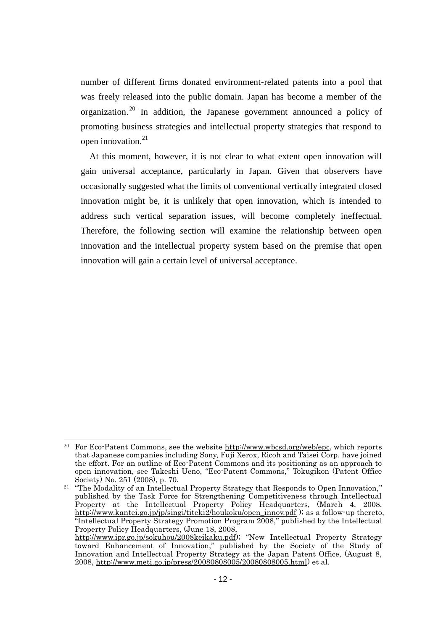number of different firms donated environment-related patents into a pool that was freely released into the public domain. Japan has become a member of the organization. <sup>20</sup> In addition, the Japanese government announced a policy of promoting business strategies and intellectual property strategies that respond to open innovation.<sup>21</sup>

At this moment, however, it is not clear to what extent open innovation will gain universal acceptance, particularly in Japan. Given that observers have occasionally suggested what the limits of conventional vertically integrated closed innovation might be, it is unlikely that open innovation, which is intended to address such vertical separation issues, will become completely ineffectual. Therefore, the following section will examine the relationship between open innovation and the intellectual property system based on the premise that open innovation will gain a certain level of universal acceptance.

<sup>20</sup> For Eco-Patent Commons, see the website [http://www.wbcsd.org/web/epc,](http://www.wbcsd.org/web/epc) which reports that Japanese companies including Sony, Fuji Xerox, Ricoh and Taisei Corp. have joined the effort. For an outline of Eco-Patent Commons and its positioning as an approach to open innovation, see Takeshi Ueno, "Eco-Patent Commons," Tokugikon (Patent Office Society) No. 251 (2008), p. 70.

<sup>&</sup>lt;sup>21</sup> "The Modality of an Intellectual Property Strategy that Responds to Open Innovation," published by the Task Force for Strengthening Competitiveness through Intellectual Property at the Intellectual Property Policy Headquarters, (March 4, 2008, [http://www.kantei.go.jp/jp/singi/titeki2/houkoku/open\\_innov.pdf](http://www.kantei.go.jp/jp/singi/titeki2/houkoku/open_innov.pdf) ); as a follow-up thereto, "Intellectual Property Strategy Promotion Program 2008," published by the Intellectual Property Policy Headquarters, (June 18, 2008, [http://www.ipr.go.jp/sokuhou/2008keikaku.pdf\)](http://www.ipr.go.jp/sokuhou/2008keikaku.pdf); "New Intellectual Property Strategy

toward Enhancement of Innovation," published by the Society of the Study of Innovation and Intellectual Property Strategy at the Japan Patent Office, (August 8, 2008, [http://www.meti.go.jp/press/20080808005/20080808005.html\)](http://www.meti.go.jp/press/20080808005/20080808005.html) et al.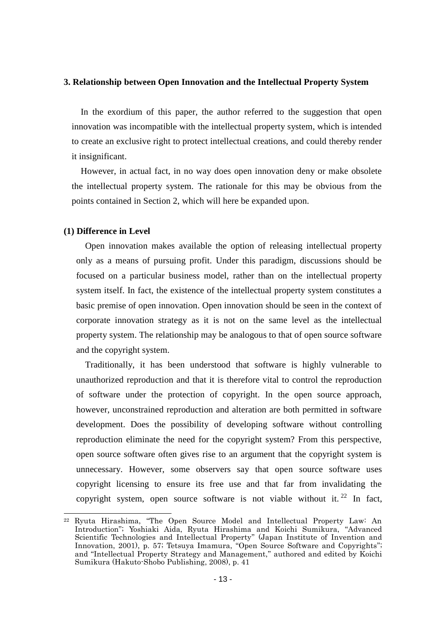#### **3. Relationship between Open Innovation and the Intellectual Property System**

In the exordium of this paper, the author referred to the suggestion that open innovation was incompatible with the intellectual property system, which is intended to create an exclusive right to protect intellectual creations, and could thereby render it insignificant.

However, in actual fact, in no way does open innovation deny or make obsolete the intellectual property system. The rationale for this may be obvious from the points contained in Section 2, which will here be expanded upon.

#### **(1) Difference in Level**

-

Open innovation makes available the option of releasing intellectual property only as a means of pursuing profit. Under this paradigm, discussions should be focused on a particular business model, rather than on the intellectual property system itself. In fact, the existence of the intellectual property system constitutes a basic premise of open innovation. Open innovation should be seen in the context of corporate innovation strategy as it is not on the same level as the intellectual property system. The relationship may be analogous to that of open source software and the copyright system.

Traditionally, it has been understood that software is highly vulnerable to unauthorized reproduction and that it is therefore vital to control the reproduction of software under the protection of copyright. In the open source approach, however, unconstrained reproduction and alteration are both permitted in software development. Does the possibility of developing software without controlling reproduction eliminate the need for the copyright system? From this perspective, open source software often gives rise to an argument that the copyright system is unnecessary. However, some observers say that open source software uses copyright licensing to ensure its free use and that far from invalidating the copyright system, open source software is not viable without it.  $22$  In fact,

<sup>22</sup> Ryuta Hirashima, "The Open Source Model and Intellectual Property Law: An Introduction"; Yoshiaki Aida, Ryuta Hirashima and Koichi Sumikura, "Advanced Scientific Technologies and Intellectual Property" (Japan Institute of Invention and Innovation, 2001), p. 57; Tetsuya Imamura, "Open Source Software and Copyrights"; and "Intellectual Property Strategy and Management," authored and edited by Koichi Sumikura (Hakuto-Shobo Publishing, 2008), p. 41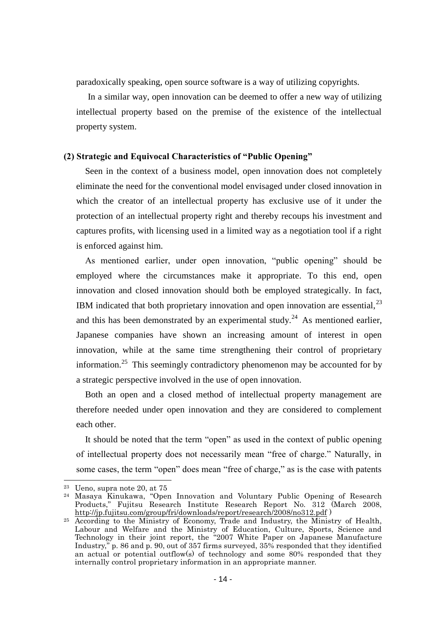paradoxically speaking, open source software is a way of utilizing copyrights.

In a similar way, open innovation can be deemed to offer a new way of utilizing intellectual property based on the premise of the existence of the intellectual property system.

#### **(2) Strategic and Equivocal Characteristics of "Public Opening"**

Seen in the context of a business model, open innovation does not completely eliminate the need for the conventional model envisaged under closed innovation in which the creator of an intellectual property has exclusive use of it under the protection of an intellectual property right and thereby recoups his investment and captures profits, with licensing used in a limited way as a negotiation tool if a right is enforced against him.

As mentioned earlier, under open innovation, "public opening" should be employed where the circumstances make it appropriate. To this end, open innovation and closed innovation should both be employed strategically. In fact, IBM indicated that both proprietary innovation and open innovation are essential,  $^{23}$ and this has been demonstrated by an experimental study.<sup>24</sup> As mentioned earlier, Japanese companies have shown an increasing amount of interest in open innovation, while at the same time strengthening their control of proprietary information.<sup>25</sup> This seemingly contradictory phenomenon may be accounted for by a strategic perspective involved in the use of open innovation.

Both an open and a closed method of intellectual property management are therefore needed under open innovation and they are considered to complement each other.

It should be noted that the term "open" as used in the context of public opening of intellectual property does not necessarily mean "free of charge." Naturally, in some cases, the term "open" does mean "free of charge," as is the case with patents

 $23$  Ueno, supra note 20, at 75

<sup>24</sup> Masaya Kinukawa, "Open Innovation and Voluntary Public Opening of Research Products," Fujitsu Research Institute Research Report No. 312 (March 2008, <http://jp.fujitsu.com/group/fri/downloads/report/research/2008/no312.pdf> )

<sup>25</sup> According to the Ministry of Economy, Trade and Industry, the Ministry of Health, Labour and Welfare and the Ministry of Education, Culture, Sports, Science and Technology in their joint report, the "2007 White Paper on Japanese Manufacture Industry," p. 86 and p. 90, out of 357 firms surveyed, 35% responded that they identified an actual or potential outflow(s) of technology and some 80% responded that they internally control proprietary information in an appropriate manner.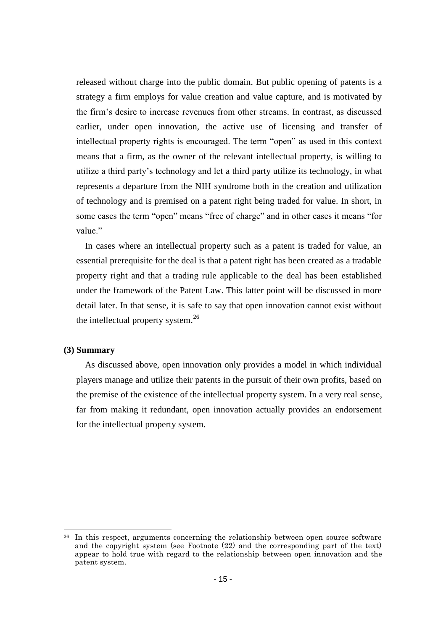released without charge into the public domain. But public opening of patents is a strategy a firm employs for value creation and value capture, and is motivated by the firm's desire to increase revenues from other streams. In contrast, as discussed earlier, under open innovation, the active use of licensing and transfer of intellectual property rights is encouraged. The term "open" as used in this context means that a firm, as the owner of the relevant intellectual property, is willing to utilize a third party's technology and let a third party utilize its technology, in what represents a departure from the NIH syndrome both in the creation and utilization of technology and is premised on a patent right being traded for value. In short, in some cases the term "open" means "free of charge" and in other cases it means "for value."

In cases where an intellectual property such as a patent is traded for value, an essential prerequisite for the deal is that a patent right has been created as a tradable property right and that a trading rule applicable to the deal has been established under the framework of the Patent Law. This latter point will be discussed in more detail later. In that sense, it is safe to say that open innovation cannot exist without the intellectual property system.<sup>26</sup>

#### **(3) Summary**

-

As discussed above, open innovation only provides a model in which individual players manage and utilize their patents in the pursuit of their own profits, based on the premise of the existence of the intellectual property system. In a very real sense, far from making it redundant, open innovation actually provides an endorsement for the intellectual property system.

<sup>&</sup>lt;sup>26</sup> In this respect, arguments concerning the relationship between open source software and the copyright system (see Footnote (22) and the corresponding part of the text) appear to hold true with regard to the relationship between open innovation and the patent system.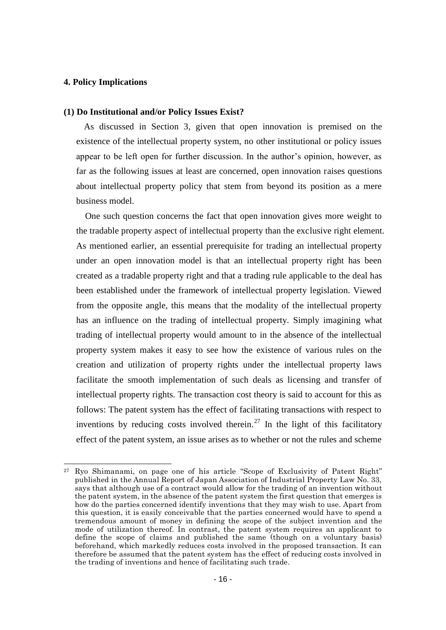#### **4. Policy Implications**

-

#### **(1) Do Institutional and/or Policy Issues Exist?**

As discussed in Section 3, given that open innovation is premised on the existence of the intellectual property system, no other institutional or policy issues appear to be left open for further discussion. In the author's opinion, however, as far as the following issues at least are concerned, open innovation raises questions about intellectual property policy that stem from beyond its position as a mere business model.

One such question concerns the fact that open innovation gives more weight to the tradable property aspect of intellectual property than the exclusive right element. As mentioned earlier, an essential prerequisite for trading an intellectual property under an open innovation model is that an intellectual property right has been created as a tradable property right and that a trading rule applicable to the deal has been established under the framework of intellectual property legislation. Viewed from the opposite angle, this means that the modality of the intellectual property has an influence on the trading of intellectual property. Simply imagining what trading of intellectual property would amount to in the absence of the intellectual property system makes it easy to see how the existence of various rules on the creation and utilization of property rights under the intellectual property laws facilitate the smooth implementation of such deals as licensing and transfer of intellectual property rights. The transaction cost theory is said to account for this as follows: The patent system has the effect of facilitating transactions with respect to inventions by reducing costs involved therein.<sup>27</sup> In the light of this facilitatory effect of the patent system, an issue arises as to whether or not the rules and scheme

<sup>27</sup> Ryo Shimanami, on page one of his article "Scope of Exclusivity of Patent Right" published in the Annual Report of Japan Association of Industrial Property Law No. 33, says that although use of a contract would allow for the trading of an invention without the patent system, in the absence of the patent system the first question that emerges is how do the parties concerned identify inventions that they may wish to use. Apart from this question, it is easily conceivable that the parties concerned would have to spend a tremendous amount of money in defining the scope of the subject invention and the mode of utilization thereof. In contrast, the patent system requires an applicant to define the scope of claims and published the same (though on a voluntary basis) beforehand, which markedly reduces costs involved in the proposed transaction. It can therefore be assumed that the patent system has the effect of reducing costs involved in the trading of inventions and hence of facilitating such trade.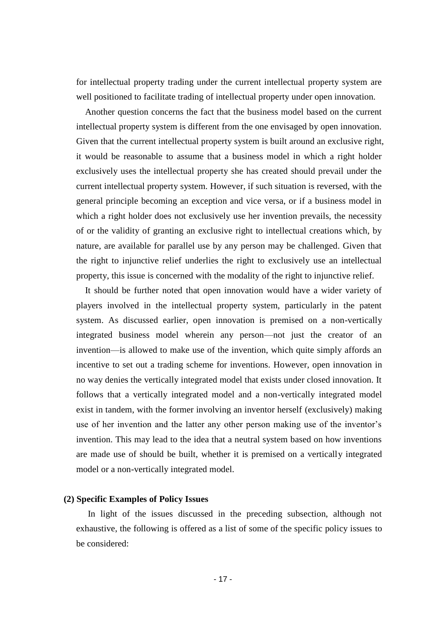for intellectual property trading under the current intellectual property system are well positioned to facilitate trading of intellectual property under open innovation.

Another question concerns the fact that the business model based on the current intellectual property system is different from the one envisaged by open innovation. Given that the current intellectual property system is built around an exclusive right, it would be reasonable to assume that a business model in which a right holder exclusively uses the intellectual property she has created should prevail under the current intellectual property system. However, if such situation is reversed, with the general principle becoming an exception and vice versa, or if a business model in which a right holder does not exclusively use her invention prevails, the necessity of or the validity of granting an exclusive right to intellectual creations which, by nature, are available for parallel use by any person may be challenged. Given that the right to injunctive relief underlies the right to exclusively use an intellectual property, this issue is concerned with the modality of the right to injunctive relief.

It should be further noted that open innovation would have a wider variety of players involved in the intellectual property system, particularly in the patent system. As discussed earlier, open innovation is premised on a non-vertically integrated business model wherein any person—not just the creator of an invention—is allowed to make use of the invention, which quite simply affords an incentive to set out a trading scheme for inventions. However, open innovation in no way denies the vertically integrated model that exists under closed innovation. It follows that a vertically integrated model and a non-vertically integrated model exist in tandem, with the former involving an inventor herself (exclusively) making use of her invention and the latter any other person making use of the inventor's invention. This may lead to the idea that a neutral system based on how inventions are made use of should be built, whether it is premised on a vertically integrated model or a non-vertically integrated model.

#### **(2) Specific Examples of Policy Issues**

In light of the issues discussed in the preceding subsection, although not exhaustive, the following is offered as a list of some of the specific policy issues to be considered: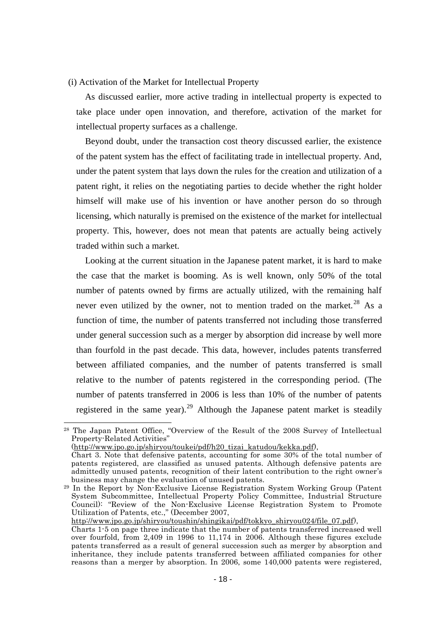#### (i) Activation of the Market for Intellectual Property

As discussed earlier, more active trading in intellectual property is expected to take place under open innovation, and therefore, activation of the market for intellectual property surfaces as a challenge.

Beyond doubt, under the transaction cost theory discussed earlier, the existence of the patent system has the effect of facilitating trade in intellectual property. And, under the patent system that lays down the rules for the creation and utilization of a patent right, it relies on the negotiating parties to decide whether the right holder himself will make use of his invention or have another person do so through licensing, which naturally is premised on the existence of the market for intellectual property. This, however, does not mean that patents are actually being actively traded within such a market.

Looking at the current situation in the Japanese patent market, it is hard to make the case that the market is booming. As is well known, only 50% of the total number of patents owned by firms are actually utilized, with the remaining half never even utilized by the owner, not to mention traded on the market.<sup>28</sup> As a function of time, the number of patents transferred not including those transferred under general succession such as a merger by absorption did increase by well more than fourfold in the past decade. This data, however, includes patents transferred between affiliated companies, and the number of patents transferred is small relative to the number of patents registered in the corresponding period. (The number of patents transferred in 2006 is less than 10% of the number of patents registered in the same year).<sup>29</sup> Although the Japanese patent market is steadily

1

[http://www.jpo.go.jp/shiryou/toushin/shingikai/pdf/tokkyo\\_shiryou024/file\\_07.pdf\)](http://www.jpo.go.jp/shiryou/toushin/shingikai/pdf/tokkyo_shiryou024/file_07.pdf),

<sup>28</sup> The Japan Patent Office, "Overview of the Result of the 2008 Survey of Intellectual Property-Related Activities"

[<sup>\(</sup>http://www.jpo.go.jp/shiryou/toukei/pdf/h20\\_tizai\\_katudou/kekka.pdf\)](http://www.jpo.go.jp/shiryou/toukei/pdf/h20_tizai_katudou/kekka.pdf),

Chart 3. Note that defensive patents, accounting for some 30% of the total number of patents registered, are classified as unused patents. Although defensive patents are admittedly unused patents, recognition of their latent contribution to the right owner's business may change the evaluation of unused patents.

<sup>29</sup> In the Report by Non-Exclusive License Registration System Working Group (Patent System Subcommittee, Intellectual Property Policy Committee, Industrial Structure Council): "Review of the Non-Exclusive License Registration System to Promote Utilization of Patents, etc.," (December 2007,

Charts 1-5 on page three indicate that the number of patents transferred increased well over fourfold, from 2,409 in 1996 to 11,174 in 2006. Although these figures exclude patents transferred as a result of general succession such as merger by absorption and inheritance, they include patents transferred between affiliated companies for other reasons than a merger by absorption. In 2006, some 140,000 patents were registered,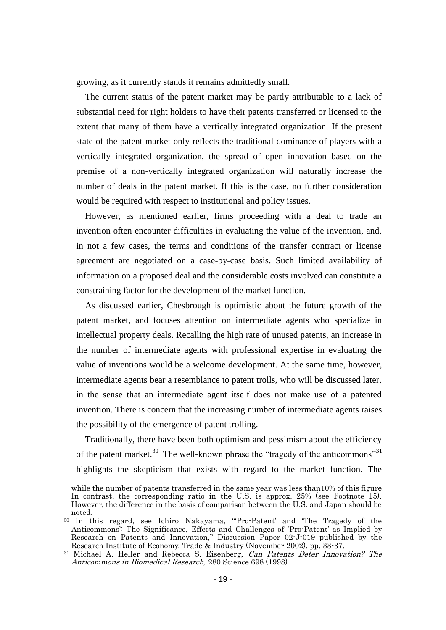growing, as it currently stands it remains admittedly small.

The current status of the patent market may be partly attributable to a lack of substantial need for right holders to have their patents transferred or licensed to the extent that many of them have a vertically integrated organization. If the present state of the patent market only reflects the traditional dominance of players with a vertically integrated organization, the spread of open innovation based on the premise of a non-vertically integrated organization will naturally increase the number of deals in the patent market. If this is the case, no further consideration would be required with respect to institutional and policy issues.

However, as mentioned earlier, firms proceeding with a deal to trade an invention often encounter difficulties in evaluating the value of the invention, and, in not a few cases, the terms and conditions of the transfer contract or license agreement are negotiated on a case-by-case basis. Such limited availability of information on a proposed deal and the considerable costs involved can constitute a constraining factor for the development of the market function.

As discussed earlier, Chesbrough is optimistic about the future growth of the patent market, and focuses attention on intermediate agents who specialize in intellectual property deals. Recalling the high rate of unused patents, an increase in the number of intermediate agents with professional expertise in evaluating the value of inventions would be a welcome development. At the same time, however, intermediate agents bear a resemblance to patent trolls, who will be discussed later, in the sense that an intermediate agent itself does not make use of a patented invention. There is concern that the increasing number of intermediate agents raises the possibility of the emergence of patent trolling.

Traditionally, there have been both optimism and pessimism about the efficiency of the patent market.<sup>30</sup> The well-known phrase the "tragedy of the anticommons"<sup>31</sup> highlights the skepticism that exists with regard to the market function. The

while the number of patents transferred in the same year was less than10% of this figure. In contrast, the corresponding ratio in the U.S. is approx. 25% (see Footnote 15). However, the difference in the basis of comparison between the U.S. and Japan should be noted.

<sup>30</sup> In this regard, see Ichiro Nakayama, ""Pro-Patent" and "The Tragedy of the Anticommons": The Significance, Effects and Challenges of "Pro-Patent" as Implied by Research on Patents and Innovation," Discussion Paper 02-J-019 published by the Research Institute of Economy, Trade & Industry (November 2002), pp. 33-37.

<sup>&</sup>lt;sup>31</sup> Michael A. Heller and Rebecca S. Eisenberg, *Can Patents Deter Innovation? The* Anticommons in Biomedical Research, 280 Science 698 (1998)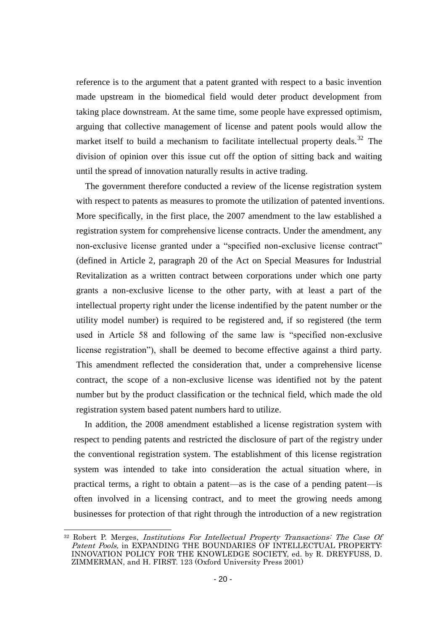reference is to the argument that a patent granted with respect to a basic invention made upstream in the biomedical field would deter product development from taking place downstream. At the same time, some people have expressed optimism, arguing that collective management of license and patent pools would allow the market itself to build a mechanism to facilitate intellectual property deals.<sup>32</sup> The division of opinion over this issue cut off the option of sitting back and waiting until the spread of innovation naturally results in active trading.

The government therefore conducted a review of the license registration system with respect to patents as measures to promote the utilization of patented inventions. More specifically, in the first place, the 2007 amendment to the law established a registration system for comprehensive license contracts. Under the amendment, any non-exclusive license granted under a "specified non-exclusive license contract" (defined in Article 2, paragraph 20 of the Act on Special Measures for Industrial Revitalization as a written contract between corporations under which one party grants a non-exclusive license to the other party, with at least a part of the intellectual property right under the license indentified by the patent number or the utility model number) is required to be registered and, if so registered (the term used in Article 58 and following of the same law is "specified non-exclusive license registration"), shall be deemed to become effective against a third party. This amendment reflected the consideration that, under a comprehensive license contract, the scope of a non-exclusive license was identified not by the patent number but by the product classification or the technical field, which made the old registration system based patent numbers hard to utilize.

In addition, the 2008 amendment established a license registration system with respect to pending patents and restricted the disclosure of part of the registry under the conventional registration system. The establishment of this license registration system was intended to take into consideration the actual situation where, in practical terms, a right to obtain a patent—as is the case of a pending patent—is often involved in a licensing contract, and to meet the growing needs among businesses for protection of that right through the introduction of a new registration

<sup>&</sup>lt;sup>32</sup> Robert P. Merges, *Institutions For Intellectual Property Transactions: The Case Of* Patent Pools, in EXPANDING THE BOUNDARIES OF INTELLECTUAL PROPERTY: INNOVATION POLICY FOR THE KNOWLEDGE SOCIETY, ed. by R. DREYFUSS, D. ZIMMERMAN, and H. FIRST. 123 (Oxford University Press 2001)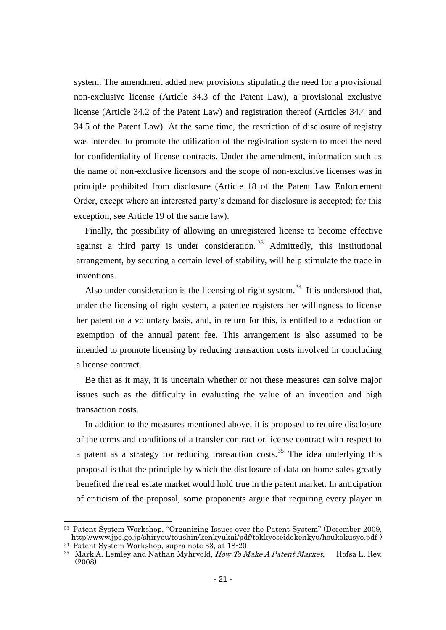system. The amendment added new provisions stipulating the need for a provisional non-exclusive license (Article 34.3 of the Patent Law), a provisional exclusive license (Article 34.2 of the Patent Law) and registration thereof (Articles 34.4 and 34.5 of the Patent Law). At the same time, the restriction of disclosure of registry was intended to promote the utilization of the registration system to meet the need for confidentiality of license contracts. Under the amendment, information such as the name of non-exclusive licensors and the scope of non-exclusive licenses was in principle prohibited from disclosure (Article 18 of the Patent Law Enforcement Order, except where an interested party's demand for disclosure is accepted; for this exception, see Article 19 of the same law).

Finally, the possibility of allowing an unregistered license to become effective against a third party is under consideration.<sup>33</sup> Admittedly, this institutional arrangement, by securing a certain level of stability, will help stimulate the trade in inventions.

Also under consideration is the licensing of right system.<sup>34</sup> It is understood that, under the licensing of right system, a patentee registers her willingness to license her patent on a voluntary basis, and, in return for this, is entitled to a reduction or exemption of the annual patent fee. This arrangement is also assumed to be intended to promote licensing by reducing transaction costs involved in concluding a license contract.

Be that as it may, it is uncertain whether or not these measures can solve major issues such as the difficulty in evaluating the value of an invention and high transaction costs.

In addition to the measures mentioned above, it is proposed to require disclosure of the terms and conditions of a transfer contract or license contract with respect to a patent as a strategy for reducing transaction costs.<sup>35</sup> The idea underlying this proposal is that the principle by which the disclosure of data on home sales greatly benefited the real estate market would hold true in the patent market. In anticipation of criticism of the proposal, some proponents argue that requiring every player in

1

<sup>33</sup> Patent System Workshop, "Organizing Issues over the Patent System" (December 2009, <http://www.jpo.go.jp/shiryou/toushin/kenkyukai/pdf/tokkyoseidokenkyu/houkokusyo.pdf> )  $34$  Patent System Workshop, supra note 33, at  $18-20$ 

<sup>&</sup>lt;sup>35</sup> Mark A. Lemley and Nathan Myhrvold, *How To Make A Patent Market*, Hofsa L. Rev. (2008)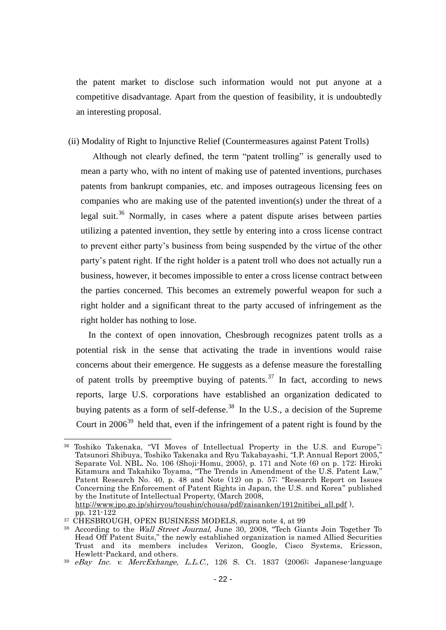the patent market to disclose such information would not put anyone at a competitive disadvantage. Apart from the question of feasibility, it is undoubtedly an interesting proposal.

#### (ii) Modality of Right to Injunctive Relief (Countermeasures against Patent Trolls)

Although not clearly defined, the term "patent trolling" is generally used to mean a party who, with no intent of making use of patented inventions, purchases patents from bankrupt companies, etc. and imposes outrageous licensing fees on companies who are making use of the patented invention(s) under the threat of a legal suit.<sup>36</sup> Normally, in cases where a patent dispute arises between parties utilizing a patented invention, they settle by entering into a cross license contract to prevent either party's business from being suspended by the virtue of the other party's patent right. If the right holder is a patent troll who does not actually run a business, however, it becomes impossible to enter a cross license contract between the parties concerned. This becomes an extremely powerful weapon for such a right holder and a significant threat to the party accused of infringement as the right holder has nothing to lose.

In the context of open innovation, Chesbrough recognizes patent trolls as a potential risk in the sense that activating the trade in inventions would raise concerns about their emergence. He suggests as a defense measure the forestalling of patent trolls by preemptive buying of patents.<sup>37</sup> In fact, according to news reports, large U.S. corporations have established an organization dedicated to buying patents as a form of self-defense.<sup>38</sup> In the U.S., a decision of the Supreme Court in  $2006^{39}$  held that, even if the infringement of a patent right is found by the

<sup>36</sup> Toshiko Takenaka, "VI Moves of Intellectual Property in the U.S. and Europe"; Tatsunori Shibuya, Toshiko Takenaka and Ryu Takabayashi, "I.P. Annual Report 2005," Separate Vol. NBL. No. 106 (Shoji-Homu, 2005), p. 171 and Note (6) on p. 172; Hiroki Kitamura and Takahiko Toyama, "The Trends in Amendment of the U.S. Patent Law," Patent Research No. 40, p. 48 and Note (12) on p. 57; "Research Report on Issues Concerning the Enforcement of Patent Rights in Japan, the U.S. and Korea" published by the Institute of Intellectual Property, (March 2008, [http://www.jpo.go.jp/shiryou/toushin/chousa/pdf/zaisanken/1912nitibei\\_all.pdf](http://www.jpo.go.jp/shiryou/toushin/chousa/pdf/zaisanken/1912nitibei_all.pdf) ),

pp. 121-122

<sup>&</sup>lt;sup>37</sup> CHESBROUGH, OPEN BUSINESS MODELS, supra note 4, at 99

<sup>&</sup>lt;sup>38</sup> According to the *Wall Street Journal*, June 30, 2008, "Tech Giants Join Together To Head Off Patent Suits," the newly established organization is named Allied Securities Trust and its members includes Verizon, Google, Cisco Systems, Ericsson, Hewlett-Packard, and others.

 $39$  eBay Inc. v. MercExhange, L.L.C., 126 S. Ct. 1837 (2006); Japanese-language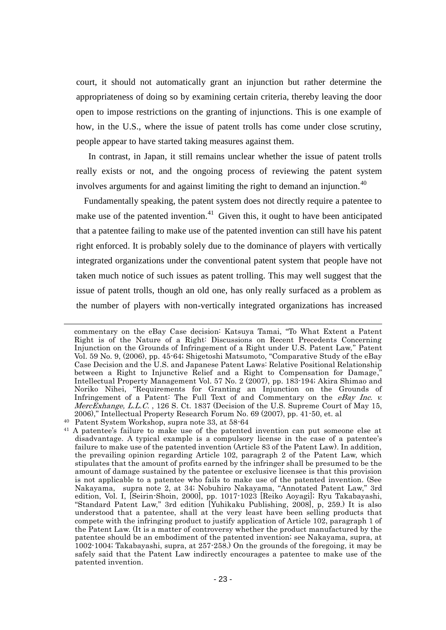court, it should not automatically grant an injunction but rather determine the appropriateness of doing so by examining certain criteria, thereby leaving the door open to impose restrictions on the granting of injunctions. This is one example of how, in the U.S., where the issue of patent trolls has come under close scrutiny, people appear to have started taking measures against them.

In contrast, in Japan, it still remains unclear whether the issue of patent trolls really exists or not, and the ongoing process of reviewing the patent system involves arguments for and against limiting the right to demand an injunction.<sup>40</sup>

Fundamentally speaking, the patent system does not directly require a patentee to make use of the patented invention.<sup>41</sup> Given this, it ought to have been anticipated that a patentee failing to make use of the patented invention can still have his patent right enforced. It is probably solely due to the dominance of players with vertically integrated organizations under the conventional patent system that people have not taken much notice of such issues as patent trolling. This may well suggest that the issue of patent trolls, though an old one, has only really surfaced as a problem as the number of players with non-vertically integrated organizations has increased

commentary on the eBay Case decision: Katsuya Tamai, "To What Extent a Patent Right is of the Nature of a Right: Discussions on Recent Precedents Concerning Injunction on the Grounds of Infringement of a Right under U.S. Patent Law," Patent Vol. 59 No. 9, (2006), pp. 45-64; Shigetoshi Matsumoto, "Comparative Study of the eBay Case Decision and the U.S. and Japanese Patent Laws: Relative Positional Relationship between a Right to Injunctive Relief and a Right to Compensation for Damage, Intellectual Property Management Vol. 57 No. 2 (2007), pp. 183-194; Akira Shimao and Noriko Nihei, "Requirements for Granting an Injunction on the Grounds of Infringement of a Patent: The Full Text of and Commentary on the *eBay Inc. v.* MercExhange, L.L.C., 126 S. Ct. 1837 (Decision of the U.S. Supreme Court of May 15, 2006)," Intellectual Property Research Forum No. 69 (2007), pp. 41-50, et. al

<sup>40</sup> Patent System Workshop, supra note 33, at 58-64

<sup>&</sup>lt;sup>41</sup> A patentee's failure to make use of the patented invention can put someone else at disadvantage. A typical example is a compulsory license in the case of a patentee's failure to make use of the patented invention (Article 83 of the Patent Law). In addition, the prevailing opinion regarding Article 102, paragraph 2 of the Patent Law, which stipulates that the amount of profits earned by the infringer shall be presumed to be the amount of damage sustained by the patentee or exclusive licensee is that this provision is not applicable to a patentee who fails to make use of the patented invention. (See Nakayama, supra note 2, at 34; Nobuhiro Nakayama, "Annotated Patent Law," 3rd edition, Vol. I, [Seirin-Shoin, 2000], pp. 1017-1023 [Reiko Aoyagi]; Ryu Takabayashi, "Standard Patent Law," 3rd edition [Yuhikaku Publishing, 2008], p, 259.) It is also understood that a patentee, shall at the very least have been selling products that compete with the infringing product to justify application of Article 102, paragraph 1 of the Patent Law. (It is a matter of controversy whether the product manufactured by the patentee should be an embodiment of the patented invention; see Nakayama, supra, at 1002-1004; Takabayashi, supra, at 257-258.) On the grounds of the foregoing, it may be safely said that the Patent Law indirectly encourages a patentee to make use of the patented invention.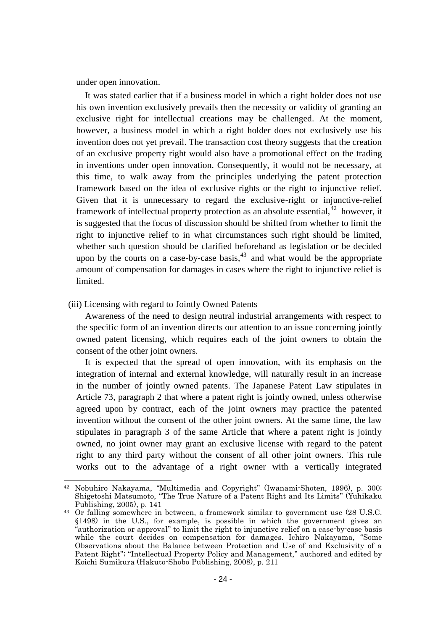under open innovation.

It was stated earlier that if a business model in which a right holder does not use his own invention exclusively prevails then the necessity or validity of granting an exclusive right for intellectual creations may be challenged. At the moment, however, a business model in which a right holder does not exclusively use his invention does not yet prevail. The transaction cost theory suggests that the creation of an exclusive property right would also have a promotional effect on the trading in inventions under open innovation. Consequently, it would not be necessary, at this time, to walk away from the principles underlying the patent protection framework based on the idea of exclusive rights or the right to injunctive relief. Given that it is unnecessary to regard the exclusive-right or injunctive-relief framework of intellectual property protection as an absolute essential,  $42$  however, it is suggested that the focus of discussion should be shifted from whether to limit the right to injunctive relief to in what circumstances such right should be limited, whether such question should be clarified beforehand as legislation or be decided upon by the courts on a case-by-case basis,  $43$  and what would be the appropriate amount of compensation for damages in cases where the right to injunctive relief is limited.

(iii) Licensing with regard to Jointly Owned Patents

-

Awareness of the need to design neutral industrial arrangements with respect to the specific form of an invention directs our attention to an issue concerning jointly owned patent licensing, which requires each of the joint owners to obtain the consent of the other joint owners.

It is expected that the spread of open innovation, with its emphasis on the integration of internal and external knowledge, will naturally result in an increase in the number of jointly owned patents. The Japanese Patent Law stipulates in Article 73, paragraph 2 that where a patent right is jointly owned, unless otherwise agreed upon by contract, each of the joint owners may practice the patented invention without the consent of the other joint owners. At the same time, the law stipulates in paragraph 3 of the same Article that where a patent right is jointly owned, no joint owner may grant an exclusive license with regard to the patent right to any third party without the consent of all other joint owners. This rule works out to the advantage of a right owner with a vertically integrated

<sup>42</sup> Nobuhiro Nakayama, "Multimedia and Copyright" (Iwanami-Shoten, 1996), p. 300; Shigetoshi Matsumoto, "The True Nature of a Patent Right and Its Limits" (Yuhikaku Publishing, 2005), p. 141

<sup>43</sup> Or falling somewhere in between, a framework similar to government use (28 U.S.C. §1498) in the U.S., for example, is possible in which the government gives an "authorization or approval" to limit the right to injunctive relief on a case-by-case basis while the court decides on compensation for damages. Ichiro Nakayama, "Some Observations about the Balance between Protection and Use of and Exclusivity of a Patent Right"; "Intellectual Property Policy and Management," authored and edited by Koichi Sumikura (Hakuto-Shobo Publishing, 2008), p. 211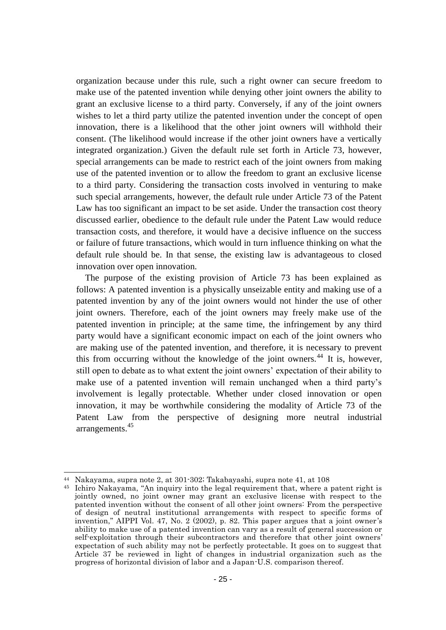organization because under this rule, such a right owner can secure freedom to make use of the patented invention while denying other joint owners the ability to grant an exclusive license to a third party. Conversely, if any of the joint owners wishes to let a third party utilize the patented invention under the concept of open innovation, there is a likelihood that the other joint owners will withhold their consent. (The likelihood would increase if the other joint owners have a vertically integrated organization.) Given the default rule set forth in Article 73, however, special arrangements can be made to restrict each of the joint owners from making use of the patented invention or to allow the freedom to grant an exclusive license to a third party. Considering the transaction costs involved in venturing to make such special arrangements, however, the default rule under Article 73 of the Patent Law has too significant an impact to be set aside. Under the transaction cost theory discussed earlier, obedience to the default rule under the Patent Law would reduce transaction costs, and therefore, it would have a decisive influence on the success or failure of future transactions, which would in turn influence thinking on what the default rule should be. In that sense, the existing law is advantageous to closed innovation over open innovation.

The purpose of the existing provision of Article 73 has been explained as follows: A patented invention is a physically unseizable entity and making use of a patented invention by any of the joint owners would not hinder the use of other joint owners. Therefore, each of the joint owners may freely make use of the patented invention in principle; at the same time, the infringement by any third party would have a significant economic impact on each of the joint owners who are making use of the patented invention, and therefore, it is necessary to prevent this from occurring without the knowledge of the joint owners.<sup>44</sup> It is, however, still open to debate as to what extent the joint owners' expectation of their ability to make use of a patented invention will remain unchanged when a third party's involvement is legally protectable. Whether under closed innovation or open innovation, it may be worthwhile considering the modality of Article 73 of the Patent Law from the perspective of designing more neutral industrial arrangements.<sup>45</sup>

1

<sup>44</sup> Nakayama, supra note 2, at 301-302; Takabayashi, supra note 41, at 108

<sup>45</sup> Ichiro Nakayama, "An inquiry into the legal requirement that, where a patent right is jointly owned, no joint owner may grant an exclusive license with respect to the patented invention without the consent of all other joint owners: From the perspective of design of neutral institutional arrangements with respect to specific forms of invention," AIPPI Vol. 47, No. 2 (2002), p. 82. This paper argues that a joint owner "s ability to make use of a patented invention can vary as a result of general succession or self-exploitation through their subcontractors and therefore that other joint owners" expectation of such ability may not be perfectly protectable. It goes on to suggest that Article 37 be reviewed in light of changes in industrial organization such as the progress of horizontal division of labor and a Japan-U.S. comparison thereof.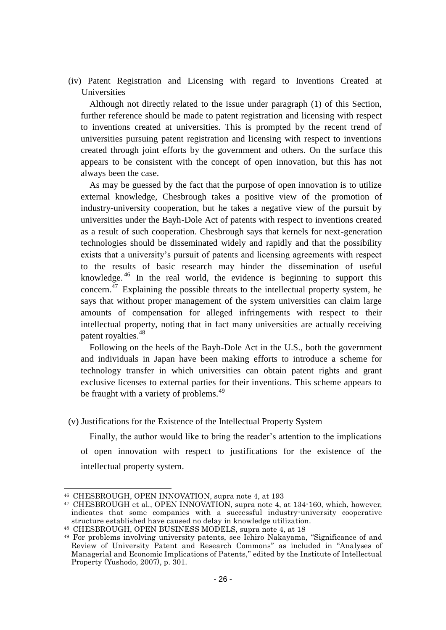(iv) Patent Registration and Licensing with regard to Inventions Created at Universities

Although not directly related to the issue under paragraph (1) of this Section, further reference should be made to patent registration and licensing with respect to inventions created at universities. This is prompted by the recent trend of universities pursuing patent registration and licensing with respect to inventions created through joint efforts by the government and others. On the surface this appears to be consistent with the concept of open innovation, but this has not always been the case.

As may be guessed by the fact that the purpose of open innovation is to utilize external knowledge, Chesbrough takes a positive view of the promotion of industry-university cooperation, but he takes a negative view of the pursuit by universities under the Bayh-Dole Act of patents with respect to inventions created as a result of such cooperation. Chesbrough says that kernels for next-generation technologies should be disseminated widely and rapidly and that the possibility exists that a university's pursuit of patents and licensing agreements with respect to the results of basic research may hinder the dissemination of useful knowledge. <sup>46</sup> In the real world, the evidence is beginning to support this concern.<sup>47</sup> Explaining the possible threats to the intellectual property system, he says that without proper management of the system universities can claim large amounts of compensation for alleged infringements with respect to their intellectual property, noting that in fact many universities are actually receiving patent royalties.<sup>48</sup>

Following on the heels of the Bayh-Dole Act in the U.S., both the government and individuals in Japan have been making efforts to introduce a scheme for technology transfer in which universities can obtain patent rights and grant exclusive licenses to external parties for their inventions. This scheme appears to be fraught with a variety of problems.<sup>49</sup>

(v) Justifications for the Existence of the Intellectual Property System

Finally, the author would like to bring the reader's attention to the implications of open innovation with respect to justifications for the existence of the intellectual property system.

<sup>46</sup> CHESBROUGH, OPEN INNOVATION, supra note 4, at 193

<sup>47</sup> CHESBROUGH et al., OPEN INNOVATION, supra note 4, at 134-160, which, however, indicates that some companies with a successful industry-university cooperative structure established have caused no delay in knowledge utilization.

<sup>48</sup> CHESBROUGH, OPEN BUSINESS MODELS, supra note 4, at 18

<sup>49</sup> For problems involving university patents, see Ichiro Nakayama, "Significance of and Review of University Patent and Research Commons" as included in "Analyses of Managerial and Economic Implications of Patents," edited by the Institute of Intellectual Property (Yushodo, 2007), p. 301.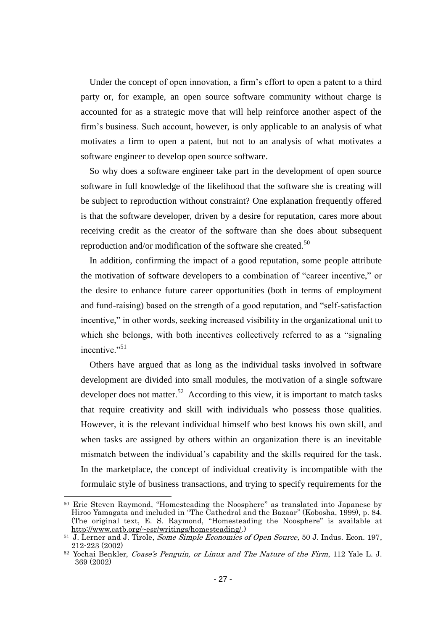Under the concept of open innovation, a firm's effort to open a patent to a third party or, for example, an open source software community without charge is accounted for as a strategic move that will help reinforce another aspect of the firm's business. Such account, however, is only applicable to an analysis of what motivates a firm to open a patent, but not to an analysis of what motivates a software engineer to develop open source software.

So why does a software engineer take part in the development of open source software in full knowledge of the likelihood that the software she is creating will be subject to reproduction without constraint? One explanation frequently offered is that the software developer, driven by a desire for reputation, cares more about receiving credit as the creator of the software than she does about subsequent reproduction and/or modification of the software she created.<sup>50</sup>

In addition, confirming the impact of a good reputation, some people attribute the motivation of software developers to a combination of "career incentive," or the desire to enhance future career opportunities (both in terms of employment and fund-raising) based on the strength of a good reputation, and "self-satisfaction incentive," in other words, seeking increased visibility in the organizational unit to which she belongs, with both incentives collectively referred to as a "signaling incentive."<sup>51</sup>

Others have argued that as long as the individual tasks involved in software development are divided into small modules, the motivation of a single software developer does not matter.<sup>52</sup> According to this view, it is important to match tasks that require creativity and skill with individuals who possess those qualities. However, it is the relevant individual himself who best knows his own skill, and when tasks are assigned by others within an organization there is an inevitable mismatch between the individual's capability and the skills required for the task. In the marketplace, the concept of individual creativity is incompatible with the formulaic style of business transactions, and trying to specify requirements for the

1

<sup>50</sup> Eric Steven Raymond, "Homesteading the Noosphere" as translated into Japanese by Hiroo Yamagata and included in "The Cathedral and the Bazaar" (Kobosha, 1999), p. 84. (The original text, E. S. Raymond, "Homesteading the Noosphere" is available at [http://www.catb.org/~esr/writings/homesteading/.](http://www.catb.org/~esr/writings/homesteading/))

<sup>&</sup>lt;sup>51</sup> J. Lerner and J. Tirole, *Some Simple Economics of Open Source*, 50 J. Indus. Econ. 197, 212-223 (2002)

 $52$  Yochai Benkler, *Coase's Penguin, or Linux and The Nature of the Firm*, 112 Yale L. J. 369 (2002)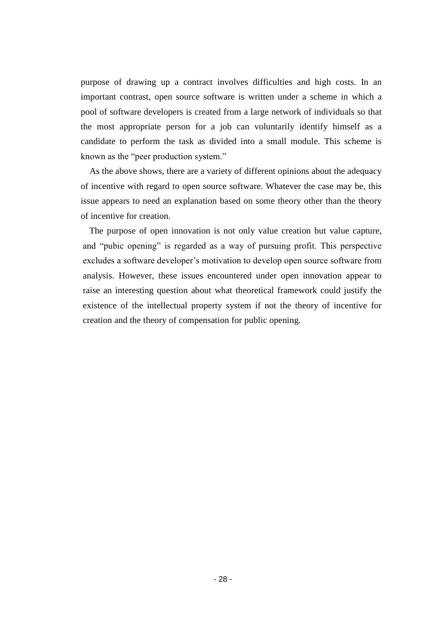purpose of drawing up a contract involves difficulties and high costs. In an important contrast, open source software is written under a scheme in which a pool of software developers is created from a large network of individuals so that the most appropriate person for a job can voluntarily identify himself as a candidate to perform the task as divided into a small module. This scheme is known as the "peer production system."

As the above shows, there are a variety of different opinions about the adequacy of incentive with regard to open source software. Whatever the case may be, this issue appears to need an explanation based on some theory other than the theory of incentive for creation.

The purpose of open innovation is not only value creation but value capture, and "pubic opening" is regarded as a way of pursuing profit. This perspective excludes a software developer's motivation to develop open source software from analysis. However, these issues encountered under open innovation appear to raise an interesting question about what theoretical framework could justify the existence of the intellectual property system if not the theory of incentive for creation and the theory of compensation for public opening.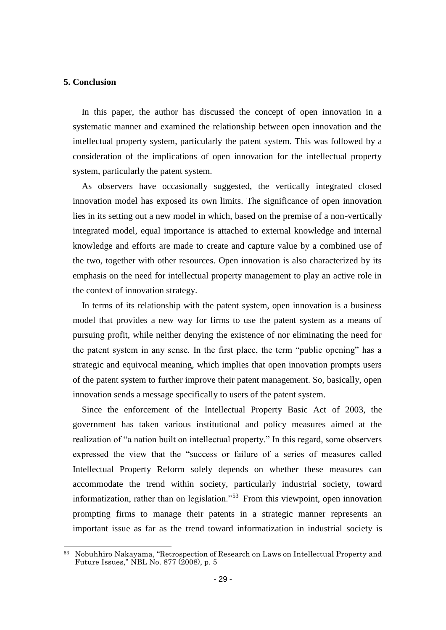#### **5. Conclusion**

1

In this paper, the author has discussed the concept of open innovation in a systematic manner and examined the relationship between open innovation and the intellectual property system, particularly the patent system. This was followed by a consideration of the implications of open innovation for the intellectual property system, particularly the patent system.

As observers have occasionally suggested, the vertically integrated closed innovation model has exposed its own limits. The significance of open innovation lies in its setting out a new model in which, based on the premise of a non-vertically integrated model, equal importance is attached to external knowledge and internal knowledge and efforts are made to create and capture value by a combined use of the two, together with other resources. Open innovation is also characterized by its emphasis on the need for intellectual property management to play an active role in the context of innovation strategy.

In terms of its relationship with the patent system, open innovation is a business model that provides a new way for firms to use the patent system as a means of pursuing profit, while neither denying the existence of nor eliminating the need for the patent system in any sense. In the first place, the term "public opening" has a strategic and equivocal meaning, which implies that open innovation prompts users of the patent system to further improve their patent management. So, basically, open innovation sends a message specifically to users of the patent system.

Since the enforcement of the Intellectual Property Basic Act of 2003, the government has taken various institutional and policy measures aimed at the realization of "a nation built on intellectual property." In this regard, some observers expressed the view that the "success or failure of a series of measures called Intellectual Property Reform solely depends on whether these measures can accommodate the trend within society, particularly industrial society, toward informatization, rather than on legislation."<sup>53</sup> From this viewpoint, open innovation prompting firms to manage their patents in a strategic manner represents an important issue as far as the trend toward informatization in industrial society is

<sup>53</sup> Nobuhhiro Nakayama, "Retrospection of Research on Laws on Intellectual Property and Future Issues," NBL No. 877 (2008), p. 5